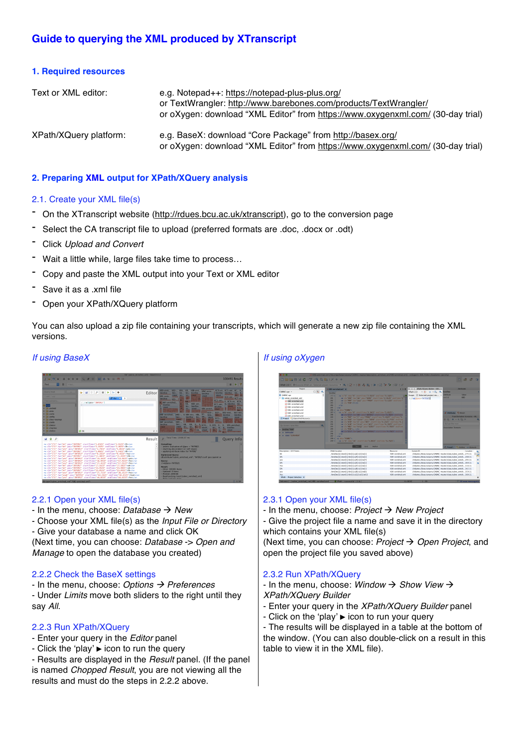# **Guide to querying the XML produced by XTranscript**

#### **1. Required resources**

| Text or XML editor:    | e.g. Notepad++: https://notepad-plus-plus.org/<br>or TextWrangler: http://www.barebones.com/products/TextWrangler/<br>or oXygen: download "XML Editor" from https://www.oxygenxml.com/ (30-day trial) |
|------------------------|-------------------------------------------------------------------------------------------------------------------------------------------------------------------------------------------------------|
| XPath/XQuery platform: | e.g. BaseX: download "Core Package" from http://basex.org/<br>or oXygen: download "XML Editor" from https://www.oxygenxml.com/ (30-day trial)                                                         |

### **2. Preparing XML output for XPath/XQuery analysis**

#### 2.1. Create your XML file(s)

- On the XTranscript website (http://rdues.bcu.ac.uk/xtranscript), go to the conversion page
- Select the CA transcript file to upload (preferred formats are .doc, .docx or .odt)
- Click *Upload and Convert*
- Wait a little while, large files take time to process...
- Copy and paste the XML output into your Text or XML editor
- Save it as <sup>a</sup> .xml file
- Open your XPath/XQuery platform

You can also upload a zip file containing your transcripts, which will generate a new zip file containing the XML versions.

#### *If using BaseX*



#### 2.2.1 Open your XML file(s)

- $-$  In the menu, choose: *Database*  $\rightarrow$  *New*
- Choose your XML file(s) as the *Input File or Directory*
- Give your database a name and click OK

(Next time, you can choose: *Database* -> *Open and Manage* to open the database you created)

## 2.2.2 Check the BaseX settings

- In the menu, choose: *Options* à *Preferences* - Under *Limits* move both sliders to the right until they say *All*.

## 2.2.3 Run XPath/XQuery

- Enter your query in the *Editor* panel
- Click the 'play' ▶ icon to run the query

- Results are displayed in the *Result* panel. (If the panel is named *Chopped Result*, you are not viewing all the results and must do the steps in 2.2.2 above.

## *If using oXygen*



#### 2.3.1 Open your XML file(s)

- In the menu, choose: *Project* à *New Project*

- Give the project file a name and save it in the directory which contains your XML file(s)

(Next time, you can choose: *Project*  $\rightarrow$  *Open Project*, and open the project file you saved above)

#### 2.3.2 Run XPath/XQuery

 $-$  In the menu, choose: *Window*  $\rightarrow$  *Show View*  $\rightarrow$ *XPath/XQuery Builder*

- Enter your query in the *XPath/XQuery Builder* panel
- Click on the 'play' ▶ icon to run your query

- The results will be displayed in a table at the bottom of the window. (You can also double-click on a result in this table to view it in the XML file).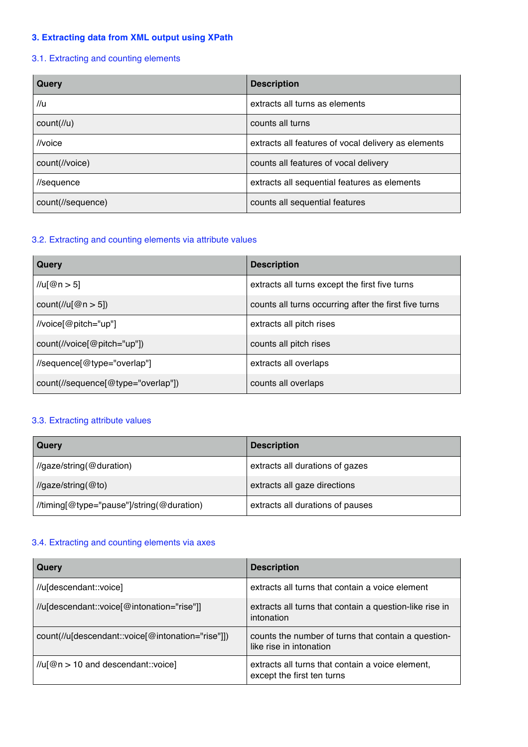## **3. Extracting data from XML output using XPath**

## 3.1. Extracting and counting elements

| Query             | <b>Description</b>                                  |
|-------------------|-----------------------------------------------------|
| $\mathcal{U}$ u   | extracts all turns as elements                      |
| count(l/u)        | counts all turns                                    |
| //voice           | extracts all features of vocal delivery as elements |
| count(//voice)    | counts all features of vocal delivery               |
| //sequence        | extracts all sequential features as elements        |
| count(//sequence) | counts all sequential features                      |

### 3.2. Extracting and counting elements via attribute values

| Query                                                              | <b>Description</b>                                    |
|--------------------------------------------------------------------|-------------------------------------------------------|
| //u[@n > 5]                                                        | extracts all turns except the first five turns        |
| count(//u[ $@n > 5$ ])                                             | counts all turns occurring after the first five turns |
| //voice[@pitch="up"]                                               | extracts all pitch rises                              |
| $count(\frac{\pi}{\pi})$ count( $\pi$ //voice $\omega$ pitch="up") | counts all pitch rises                                |
| //sequence[@type="overlap"]                                        | extracts all overlaps                                 |
| count(//sequence[@type="overlap"])                                 | counts all overlaps                                   |

### 3.3. Extracting attribute values

| Query                                     | <b>Description</b>               |
|-------------------------------------------|----------------------------------|
| //gaze/string(@duration)                  | extracts all durations of gazes  |
| $\frac{1}{2}$ gaze/string(@to)            | extracts all gaze directions     |
| //timing[@type="pause"]/string(@duration) | extracts all durations of pauses |

# 3.4. Extracting and counting elements via axes

| Query                                             | <b>Description</b>                                                             |
|---------------------------------------------------|--------------------------------------------------------------------------------|
| //u[descendant::voice]                            | extracts all turns that contain a voice element                                |
| //u[descendant::voice[@intonation="rise"]]        | extracts all turns that contain a question-like rise in<br>intonation          |
| count(//u[descendant::voice[@intonation="rise"]]) | counts the number of turns that contain a question-<br>like rise in intonation |
| $\frac{1}{u}$ [@n > 10 and descendant::voice]     | extracts all turns that contain a voice element,<br>except the first ten turns |